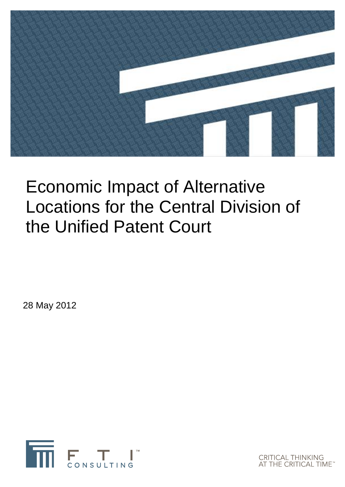

# Economic Impact of Alternative Locations for the Central Division of the Unified Patent Court

28 May 2012



**CRITICAL THINKING<br>AT THE CRITICAL TIME**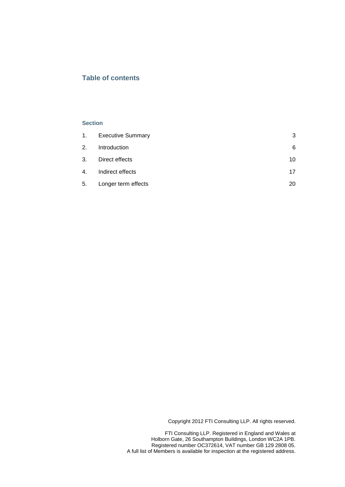## **Table of contents**

#### **Section**

|    | 1. Executive Summary | 3  |
|----|----------------------|----|
| 2. | Introduction         | 6  |
| 3. | Direct effects       | 10 |
|    | 4. Indirect effects  | 17 |
| 5. | Longer term effects  | 20 |

Copyright 2012 FTI Consulting LLP. All rights reserved.

FTI Consulting LLP. Registered in England and Wales at Holborn Gate, 26 Southampton Buildings, London WC2A 1PB. Registered number OC372614, VAT number GB 129 2808 05. A full list of Members is available for inspection at the registered address.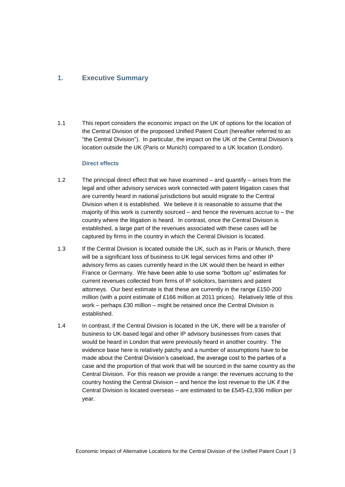## <span id="page-2-0"></span>**1. Executive Summary**

1.1 This report considers the economic impact on the UK of options for the location of the Central Division of the proposed Unified Patent Court (hereafter referred to as "the Central Division"). In particular, the impact on the UK of the Central Division's location outside the UK (Paris or Munich) compared to a UK location (London).

#### **Direct effects**

- 1.2 The principal direct effect that we have examined and quantify arises from the legal and other advisory services work connected with patent litigation cases that are currently heard in national jurisdictions but would migrate to the Central Division when it is established. We believe it is reasonable to assume that the majority of this work is currently sourced – and hence the revenues accrue to – the country where the litigation is heard. In contrast, once the Central Division is established, a large part of the revenues associated with these cases will be captured by firms in the country in which the Central Division is located.
- 1.3 If the Central Division is located outside the UK, such as in Paris or Munich, there will be a significant loss of business to UK legal services firms and other IP advisory firms as cases currently heard in the UK would then be heard in either France or Germany. We have been able to use some "bottom up" estimates for current revenues collected from firms of IP solicitors, barristers and patent attorneys. Our best estimate is that these are currently in the range £150-200 million (with a point estimate of £166 million at 2011 prices). Relatively little of this work – perhaps £30 million – might be retained once the Central Division is established.
- 1.4 In contrast, if the Central Division is located in the UK, there will be a transfer of business to UK-based legal and other IP advisory businesses from cases that would be heard in London that were previously heard in another country. The evidence base here is relatively patchy and a number of assumptions have to be made about the Central Division's caseload, the average cost to the parties of a case and the proportion of that work that will be sourced in the same country as the Central Division. For this reason we provide a range: the revenues accruing to the country hosting the Central Division – and hence the lost revenue to the UK if the Central Division is located overseas – are estimated to be £545-£1,936 million per year.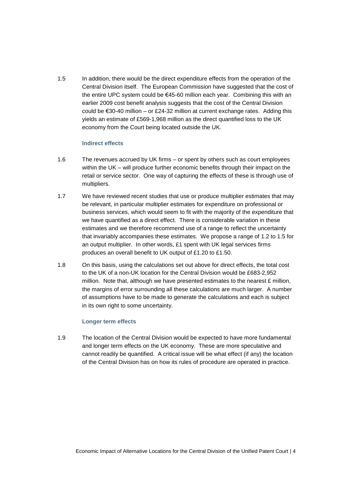1.5 In addition, there would be the direct expenditure effects from the operation of the Central Division itself. The European Commission have suggested that the cost of the entire UPC system could be €45-60 million each year. Combining this with an earlier 2009 cost benefit analysis suggests that the cost of the Central Division could be €30-40 million – or £24-32 million at current exchange rates. Adding this yields an estimate of £569-1,968 million as the direct quantified loss to the UK economy from the Court being located outside the UK.

#### **Indirect effects**

- 1.6 The revenues accrued by UK firms or spent by others such as court employees within the UK – will produce further economic benefits through their impact on the retail or service sector. One way of capturing the effects of these is through use of multipliers.
- 1.7 We have reviewed recent studies that use or produce multiplier estimates that may be relevant, in particular multiplier estimates for expenditure on professional or business services, which would seem to fit with the majority of the expenditure that we have quantified as a direct effect. There is considerable variation in these estimates and we therefore recommend use of a range to reflect the uncertainty that invariably accompanies these estimates. We propose a range of 1.2 to 1.5 for an output multiplier. In other words, £1 spent with UK legal services firms produces an overall benefit to UK output of £1.20 to £1.50.
- 1.8 On this basis, using the calculations set out above for direct effects, the total cost to the UK of a non-UK location for the Central Division would be £683-2,952 million. Note that, although we have presented estimates to the nearest £ million, the margins of error surrounding all these calculations are much larger. A number of assumptions have to be made to generate the calculations and each is subject in its own right to some uncertainty.

## **Longer term effects**

1.9 The location of the Central Division would be expected to have more fundamental and longer term effects on the UK economy. These are more speculative and cannot readily be quantified. A critical issue will be what effect (if any) the location of the Central Division has on how its rules of procedure are operated in practice.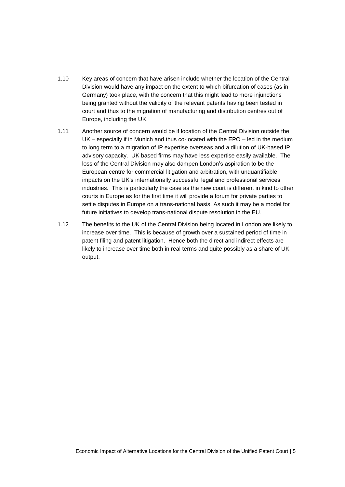- 1.10 Key areas of concern that have arisen include whether the location of the Central Division would have any impact on the extent to which bifurcation of cases (as in Germany) took place, with the concern that this might lead to more injunctions being granted without the validity of the relevant patents having been tested in court and thus to the migration of manufacturing and distribution centres out of Europe, including the UK.
- 1.11 Another source of concern would be if location of the Central Division outside the UK – especially if in Munich and thus co-located with the EPO – led in the medium to long term to a migration of IP expertise overseas and a dilution of UK-based IP advisory capacity. UK based firms may have less expertise easily available. The loss of the Central Division may also dampen London's aspiration to be the European centre for commercial litigation and arbitration, with unquantifiable impacts on the UK's internationally successful legal and professional services industries. This is particularly the case as the new court is different in kind to other courts in Europe as for the first time it will provide a forum for private parties to settle disputes in Europe on a trans-national basis. As such it may be a model for future initiatives to develop trans-national dispute resolution in the EU.
- 1.12 The benefits to the UK of the Central Division being located in London are likely to increase over time. This is because of growth over a sustained period of time in patent filing and patent litigation. Hence both the direct and indirect effects are likely to increase over time both in real terms and quite possibly as a share of UK output.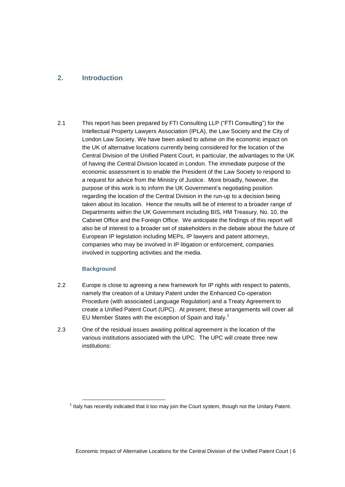# <span id="page-5-0"></span>**2. Introduction**

2.1 This report has been prepared by FTI Consulting LLP ("FTI Consulting") for the Intellectual Property Lawyers Association (IPLA), the Law Society and the City of London Law Society. We have been asked to advise on the economic impact on the UK of alternative locations currently being considered for the location of the Central Division of the Unified Patent Court, in particular, the advantages to the UK of having the Central Division located in London. The immediate purpose of the economic assessment is to enable the President of the Law Society to respond to a request for advice from the Ministry of Justice. More broadly, however, the purpose of this work is to inform the UK Government's negotiating position regarding the location of the Central Division in the run-up to a decision being taken about its location. Hence the results will be of interest to a broader range of Departments within the UK Government including BIS, HM Treasury, No. 10, the Cabinet Office and the Foreign Office. We anticipate the findings of this report will also be of interest to a broader set of stakeholders in the debate about the future of European IP legislation including MEPs, IP lawyers and patent attorneys, companies who may be involved in IP litigation or enforcement, companies involved in supporting activities and the media.

## **Background**

- 2.2 Europe is close to agreeing a new framework for IP rights with respect to patents, namely the creation of a Unitary Patent under the Enhanced Co-operation Procedure (with associated Language Regulation) and a Treaty Agreement to create a Unified Patent Court (UPC). At present, these arrangements will cover all EU Member States with the exception of Spain and Italy.<sup>1</sup>
- 2.3 One of the residual issues awaiting political agreement is the location of the various institutions associated with the UPC. The UPC will create three new institutions:

 $1$  Italy has recently indicated that it too may join the Court system, though not the Unitary Patent.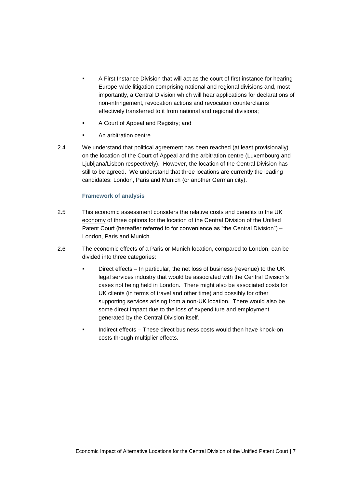- A First Instance Division that will act as the court of first instance for hearing Europe-wide litigation comprising national and regional divisions and, most importantly, a Central Division which will hear applications for declarations of non-infringement, revocation actions and revocation counterclaims effectively transferred to it from national and regional divisions;
- A Court of Appeal and Registry; and
- An arbitration centre.
- 2.4 We understand that political agreement has been reached (at least provisionally) on the location of the Court of Appeal and the arbitration centre (Luxembourg and Ljubljana/Lisbon respectively). However, the location of the Central Division has still to be agreed. We understand that three locations are currently the leading candidates: London, Paris and Munich (or another German city).

## **Framework of analysis**

- 2.5 This economic assessment considers the relative costs and benefits to the UK economy of three options for the location of the Central Division of the Unified Patent Court (hereafter referred to for convenience as "the Central Division") – London, Paris and Munich. .
- 2.6 The economic effects of a Paris or Munich location, compared to London, can be divided into three categories:
	- Direct effects In particular, the net loss of business (revenue) to the UK legal services industry that would be associated with the Central Division's cases not being held in London. There might also be associated costs for UK clients (in terms of travel and other time) and possibly for other supporting services arising from a non-UK location. There would also be some direct impact due to the loss of expenditure and employment generated by the Central Division itself.
	- Indirect effects These direct business costs would then have knock-on costs through multiplier effects.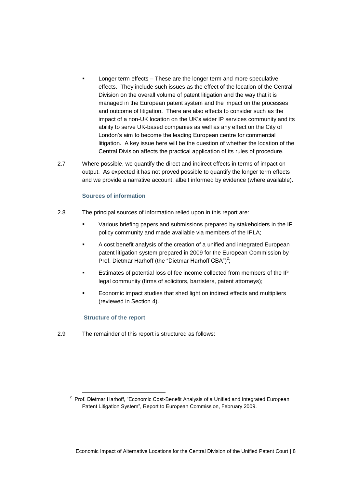- Longer term effects These are the longer term and more speculative effects. They include such issues as the effect of the location of the Central Division on the overall volume of patent litigation and the way that it is managed in the European patent system and the impact on the processes and outcome of litigation. There are also effects to consider such as the impact of a non-UK location on the UK's wider IP services community and its ability to serve UK-based companies as well as any effect on the City of London's aim to become the leading European centre for commercial litigation. A key issue here will be the question of whether the location of the Central Division affects the practical application of its rules of procedure.
- 2.7 Where possible, we quantify the direct and indirect effects in terms of impact on output. As expected it has not proved possible to quantify the longer term effects and we provide a narrative account, albeit informed by evidence (where available).

#### **Sources of information**

- 2.8 The principal sources of information relied upon in this report are:
	- Various briefing papers and submissions prepared by stakeholders in the IP policy community and made available via members of the IPLA;
	- A cost benefit analysis of the creation of a unified and integrated European patent litigation system prepared in 2009 for the European Commission by Prof. Dietmar Harhoff (the "Dietmar Harhoff CBA")<sup>2</sup>;
	- Estimates of potential loss of fee income collected from members of the IP legal community (firms of solicitors, barristers, patent attorneys);
	- Economic impact studies that shed light on indirect effects and multipliers (reviewed in Section 4).

#### **Structure of the report**

-

2.9 The remainder of this report is structured as follows:

<sup>&</sup>lt;sup>2</sup> Prof. Dietmar Harhoff, "Economic Cost-Benefit Analysis of a Unified and Integrated European Patent Litigation System", Report to European Commission, February 2009.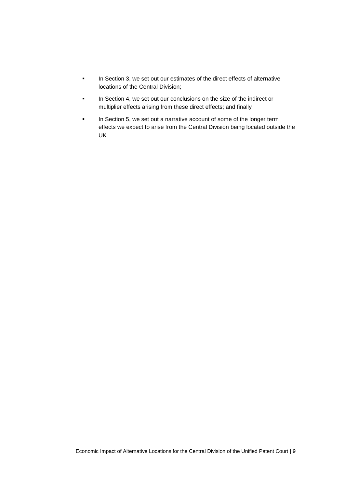- In Section 3, we set out our estimates of the direct effects of alternative locations of the Central Division;
- In Section 4, we set out our conclusions on the size of the indirect or multiplier effects arising from these direct effects; and finally
- In Section 5, we set out a narrative account of some of the longer term effects we expect to arise from the Central Division being located outside the UK.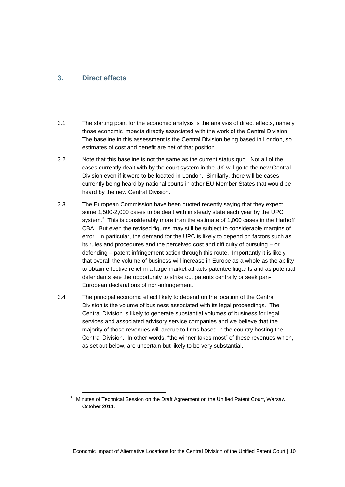## <span id="page-9-0"></span>**3. Direct effects**

-

- 3.1 The starting point for the economic analysis is the analysis of direct effects, namely those economic impacts directly associated with the work of the Central Division. The baseline in this assessment is the Central Division being based in London, so estimates of cost and benefit are net of that position.
- 3.2 Note that this baseline is not the same as the current status quo. Not all of the cases currently dealt with by the court system in the UK will go to the new Central Division even if it were to be located in London. Similarly, there will be cases currently being heard by national courts in other EU Member States that would be heard by the new Central Division.
- 3.3 The European Commission have been quoted recently saying that they expect some 1,500-2,000 cases to be dealt with in steady state each year by the UPC system. $3$  This is considerably more than the estimate of 1,000 cases in the Harhoff CBA. But even the revised figures may still be subject to considerable margins of error. In particular, the demand for the UPC is likely to depend on factors such as its rules and procedures and the perceived cost and difficulty of pursuing – or defending – patent infringement action through this route. Importantly it is likely that overall the volume of business will increase in Europe as a whole as the ability to obtain effective relief in a large market attracts patentee litigants and as potential defendants see the opportunity to strike out patents centrally or seek pan-European declarations of non-infringement.
- 3.4 The principal economic effect likely to depend on the location of the Central Division is the volume of business associated with its legal proceedings. The Central Division is likely to generate substantial volumes of business for legal services and associated advisory service companies and we believe that the majority of those revenues will accrue to firms based in the country hosting the Central Division. In other words, "the winner takes most" of these revenues which, as set out below, are uncertain but likely to be very substantial.

<sup>&</sup>lt;sup>3</sup> Minutes of Technical Session on the Draft Agreement on the Unified Patent Court, Warsaw, October 2011.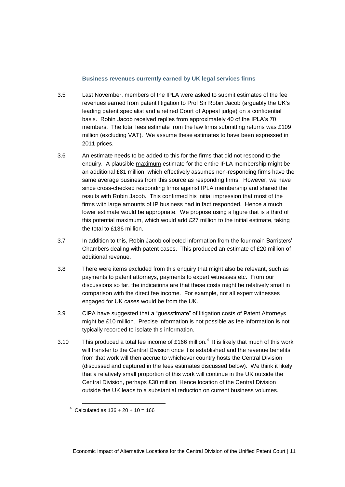#### **Business revenues currently earned by UK legal services firms**

- 3.5 Last November, members of the IPLA were asked to submit estimates of the fee revenues earned from patent litigation to Prof Sir Robin Jacob (arguably the UK's leading patent specialist and a retired Court of Appeal judge) on a confidential basis. Robin Jacob received replies from approximately 40 of the IPLA's 70 members. The total fees estimate from the law firms submitting returns was £109 million (excluding VAT). We assume these estimates to have been expressed in 2011 prices.
- 3.6 An estimate needs to be added to this for the firms that did not respond to the enquiry. A plausible maximum estimate for the entire IPLA membership might be an additional £81 million, which effectively assumes non-responding firms have the same average business from this source as responding firms. However, we have since cross-checked responding firms against IPLA membership and shared the results with Robin Jacob. This confirmed his initial impression that most of the firms with large amounts of IP business had in fact responded. Hence a much lower estimate would be appropriate. We propose using a figure that is a third of this potential maximum, which would add £27 million to the initial estimate, taking the total to £136 million.
- 3.7 In addition to this, Robin Jacob collected information from the four main Barristers' Chambers dealing with patent cases. This produced an estimate of £20 million of additional revenue.
- 3.8 There were items excluded from this enquiry that might also be relevant, such as payments to patent attorneys, payments to expert witnesses etc. From our discussions so far, the indications are that these costs might be relatively small in comparison with the direct fee income. For example, not all expert witnesses engaged for UK cases would be from the UK.
- 3.9 CIPA have suggested that a "guesstimate" of litigation costs of Patent Attorneys might be £10 million. Precise information is not possible as fee information is not typically recorded to isolate this information.
- 3.10 This produced a total fee income of £166 million.<sup>4</sup> It is likely that much of this work will transfer to the Central Division once it is established and the revenue benefits from that work will then accrue to whichever country hosts the Central Division (discussed and captured in the fees estimates discussed below). We think it likely that a relatively small proportion of this work will continue in the UK outside the Central Division, perhaps £30 million. Hence location of the Central Division outside the UK leads to a substantial reduction on current business volumes.

-

 $4$  Calculated as  $136 + 20 + 10 = 166$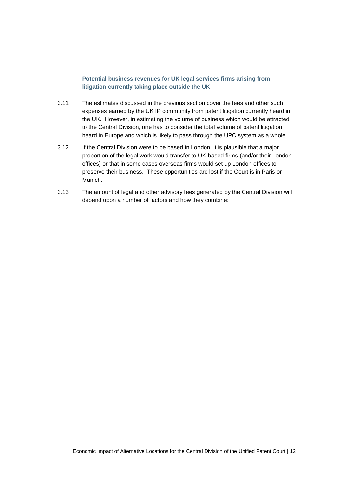## **Potential business revenues for UK legal services firms arising from litigation currently taking place outside the UK**

- 3.11 The estimates discussed in the previous section cover the fees and other such expenses earned by the UK IP community from patent litigation currently heard in the UK. However, in estimating the volume of business which would be attracted to the Central Division, one has to consider the total volume of patent litigation heard in Europe and which is likely to pass through the UPC system as a whole.
- 3.12 If the Central Division were to be based in London, it is plausible that a major proportion of the legal work would transfer to UK-based firms (and/or their London offices) or that in some cases overseas firms would set up London offices to preserve their business. These opportunities are lost if the Court is in Paris or Munich.
- 3.13 The amount of legal and other advisory fees generated by the Central Division will depend upon a number of factors and how they combine: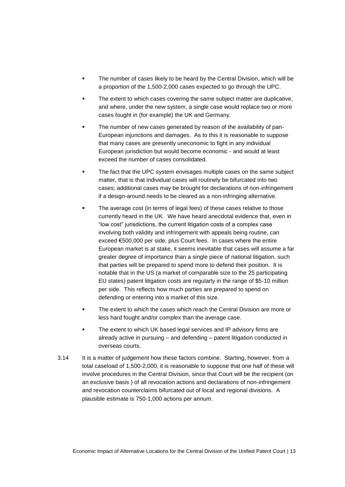- The number of cases likely to be heard by the Central Division, which will be a proportion of the 1,500-2,000 cases expected to go through the UPC.
- The extent to which cases covering the same subject matter are duplicative, and where, under the new system, a single case would replace two or more cases fought in (for example) the UK and Germany.
- The number of new cases generated by reason of the availability of pan-European injunctions and damages. As to this it is reasonable to suppose that many cases are presently uneconomic to fight in any individual European jurisdiction but would become economic - and would at least exceed the number of cases consolidated.
- The fact that the UPC system envisages multiple cases on the same subject matter, that is that individual cases will routinely be bifurcated into two cases; additional cases may be brought for declarations of non-infringement if a design-around needs to be cleared as a non-infringing alternative.
- The average cost (in terms of legal fees) of these cases relative to those currently heard in the UK. We have heard anecdotal evidence that, even in "low cost" jurisdictions, the current litigation costs of a complex case involving both validity and infringement with appeals being routine, can exceed €500,000 per side, plus Court fees. In cases where the entire European market is at stake, it seems inevitable that cases will assume a far greater degree of importance than a single piece of national litigation, such that parties will be prepared to spend more to defend their position. It is notable that in the US (a market of comparable size to the 25 participating EU states) patent litigation costs are regularly in the range of \$5-10 million per side. This reflects how much parties are prepared to spend on defending or entering into a market of this size.
- The extent to which the cases which reach the Central Division are more or less hard fought and/or complex than the average case.
- The extent to which UK based legal services and IP advisory firms are already active in pursuing – and defending – patent litigation conducted in overseas courts.
- 3.14 It is a matter of judgement how these factors combine. Starting, however, from a total caseload of 1,500-2,000, it is reasonable to suppose that one half of these will involve procedures in the Central Division, since that Court will be the recipient (on an exclusive basis ) of all revocation actions and declarations of non-infringement and revocation counterclaims bifurcated out of local and regional divisions. A plausible estimate is 750-1,000 actions per annum.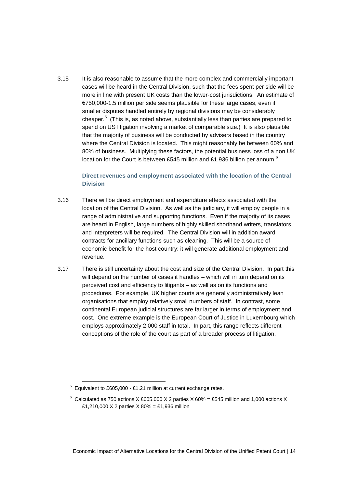3.15 It is also reasonable to assume that the more complex and commercially important cases will be heard in the Central Division, such that the fees spent per side will be more in line with present UK costs than the lower-cost jurisdictions. An estimate of €750,000-1.5 million per side seems plausible for these large cases, even if smaller disputes handled entirely by regional divisions may be considerably cheaper.<sup>5</sup> (This is, as noted above, substantially less than parties are prepared to spend on US litigation involving a market of comparable size.) It is also plausible that the majority of business will be conducted by advisers based in the country where the Central Division is located. This might reasonably be between 60% and 80% of business. Multiplying these factors, the potential business loss of a non UK location for the Court is between £545 million and £1.936 billion per annum.<sup>6</sup>

## **Direct revenues and employment associated with the location of the Central Division**

- 3.16 There will be direct employment and expenditure effects associated with the location of the Central Division. As well as the judiciary, it will employ people in a range of administrative and supporting functions. Even if the majority of its cases are heard in English, large numbers of highly skilled shorthand writers, translators and interpreters will be required. The Central Division will in addition award contracts for ancillary functions such as cleaning. This will be a source of economic benefit for the host country: it will generate additional employment and revenue.
- 3.17 There is still uncertainty about the cost and size of the Central Division. In part this will depend on the number of cases it handles – which will in turn depend on its perceived cost and efficiency to litigants – as well as on its functions and procedures. For example, UK higher courts are generally administratively lean organisations that employ relatively small numbers of staff. In contrast, some continental European judicial structures are far larger in terms of employment and cost. One extreme example is the European Court of Justice in Luxembourg which employs approximately 2,000 staff in total. In part, this range reflects different conceptions of the role of the court as part of a broader process of litigation.

 $5$  Equivalent to £605,000 - £1.21 million at current exchange rates.

 $6$  Calculated as 750 actions X £605,000 X 2 parties X 60% = £545 million and 1,000 actions X £1,210,000 X 2 parties X 80% = £1,936 million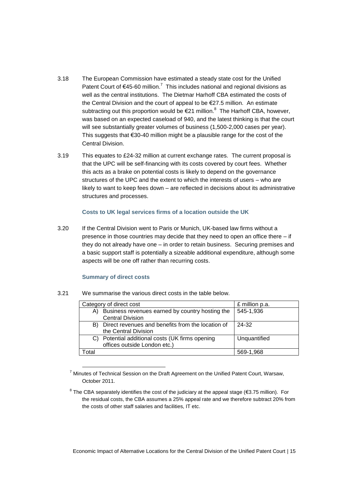- 3.18 The European Commission have estimated a steady state cost for the Unified Patent Court of  $\epsilon$ 45-60 million.<sup>7</sup> This includes national and regional divisions as well as the central institutions. The Dietmar Harhoff CBA estimated the costs of the Central Division and the court of appeal to be €27.5 million. An estimate subtracting out this proportion would be  $E$ 21 million.<sup>8</sup> The Harhoff CBA, however, was based on an expected caseload of 940, and the latest thinking is that the court will see substantially greater volumes of business (1,500-2,000 cases per year). This suggests that €30-40 million might be a plausible range for the cost of the Central Division.
- 3.19 This equates to £24-32 million at current exchange rates. The current proposal is that the UPC will be self-financing with its costs covered by court fees. Whether this acts as a brake on potential costs is likely to depend on the governance structures of the UPC and the extent to which the interests of users – who are likely to want to keep fees down – are reflected in decisions about its administrative structures and processes.

#### **Costs to UK legal services firms of a location outside the UK**

3.20 If the Central Division went to Paris or Munich, UK-based law firms without a presence in those countries may decide that they need to open an office there – if they do not already have one – in order to retain business. Securing premises and a basic support staff is potentially a sizeable additional expenditure, although some aspects will be one off rather than recurring costs.

#### **Summary of direct costs**

1

| 3.21 |  |  |  | We summarise the various direct costs in the table below. |  |
|------|--|--|--|-----------------------------------------------------------|--|
|------|--|--|--|-----------------------------------------------------------|--|

|       | Category of direct cost                              | £ million p.a. |
|-------|------------------------------------------------------|----------------|
| A)    | Business revenues earned by country hosting the      | 545-1,936      |
|       | <b>Central Division</b>                              |                |
|       | B) Direct revenues and benefits from the location of | 24-32          |
|       | the Central Division                                 |                |
|       | Potential additional costs (UK firms opening         | Unquantified   |
|       | offices outside London etc.)                         |                |
| Total |                                                      | 569-1.968      |

 $7$  Minutes of Technical Session on the Draft Agreement on the Unified Patent Court, Warsaw, October 2011.

<sup>8</sup> The CBA separately identifies the cost of the judiciary at the appeal stage (€3.75 million). For the residual costs, the CBA assumes a 25% appeal rate and we therefore subtract 20% from the costs of other staff salaries and facilities, IT etc.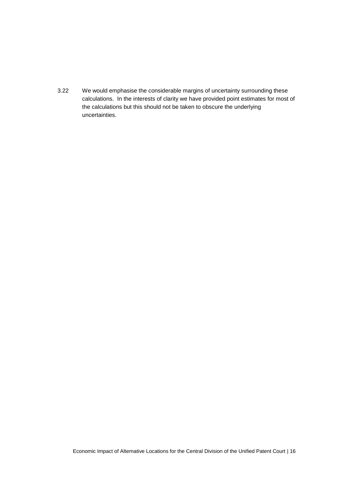3.22 We would emphasise the considerable margins of uncertainty surrounding these calculations. In the interests of clarity we have provided point estimates for most of the calculations but this should not be taken to obscure the underlying uncertainties.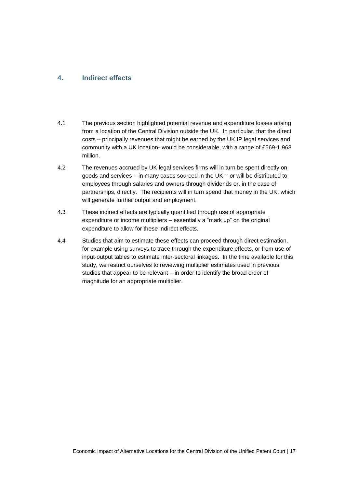## <span id="page-16-0"></span>**4. Indirect effects**

- 4.1 The previous section highlighted potential revenue and expenditure losses arising from a location of the Central Division outside the UK. In particular, that the direct costs – principally revenues that might be earned by the UK IP legal services and community with a UK location- would be considerable, with a range of £569-1,968 million.
- 4.2 The revenues accrued by UK legal services firms will in turn be spent directly on goods and services – in many cases sourced in the UK – or will be distributed to employees through salaries and owners through dividends or, in the case of partnerships, directly. The recipients will in turn spend that money in the UK, which will generate further output and employment.
- 4.3 These indirect effects are typically quantified through use of appropriate expenditure or income multipliers – essentially a "mark up" on the original expenditure to allow for these indirect effects.
- 4.4 Studies that aim to estimate these effects can proceed through direct estimation, for example using surveys to trace through the expenditure effects, or from use of input-output tables to estimate inter-sectoral linkages. In the time available for this study, we restrict ourselves to reviewing multiplier estimates used in previous studies that appear to be relevant – in order to identify the broad order of magnitude for an appropriate multiplier.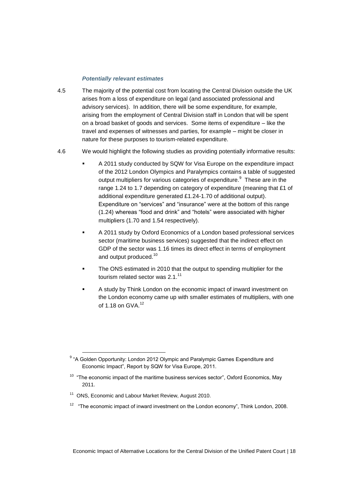#### *Potentially relevant estimates*

- 4.5 The majority of the potential cost from locating the Central Division outside the UK arises from a loss of expenditure on legal (and associated professional and advisory services). In addition, there will be some expenditure, for example, arising from the employment of Central Division staff in London that will be spent on a broad basket of goods and services. Some items of expenditure – like the travel and expenses of witnesses and parties, for example – might be closer in nature for these purposes to tourism-related expenditure.
- 4.6 We would highlight the following studies as providing potentially informative results:
	- A 2011 study conducted by SQW for Visa Europe on the expenditure impact of the 2012 London Olympics and Paralympics contains a table of suggested output multipliers for various categories of expenditure.  $9$  These are in the range 1.24 to 1.7 depending on category of expenditure (meaning that £1 of additional expenditure generated £1.24-1.70 of additional output). Expenditure on "services" and "insurance" were at the bottom of this range (1.24) whereas "food and drink" and "hotels" were associated with higher multipliers (1.70 and 1.54 respectively).
	- A 2011 study by Oxford Economics of a London based professional services sector (maritime business services) suggested that the indirect effect on GDP of the sector was 1.16 times its direct effect in terms of employment and output produced.<sup>10</sup>
	- The ONS estimated in 2010 that the output to spending multiplier for the tourism related sector was 2.1.<sup>11</sup>
	- A study by Think London on the economic impact of inward investment on the London economy came up with smaller estimates of multipliers, with one of 1.18 on GVA.<sup>12</sup>

-

<sup>&</sup>lt;sup>9</sup> "A Golden Opportunity: London 2012 Olympic and Paralympic Games Expenditure and Economic Impact", Report by SQW for Visa Europe, 2011.

 $10$  "The economic impact of the maritime business services sector", Oxford Economics, May 2011.

<sup>&</sup>lt;sup>11</sup> ONS, Economic and Labour Market Review, August 2010.

 $12$  "The economic impact of inward investment on the London economy", Think London, 2008.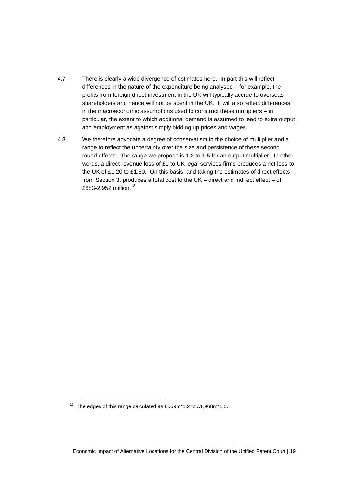- 4.7 There is clearly a wide divergence of estimates here. In part this will reflect differences in the nature of the expenditure being analysed – for example, the profits from foreign direct investment in the UK will typically accrue to overseas shareholders and hence will not be spent in the UK. It will also reflect differences in the macroeconomic assumptions used to construct these multipliers – in particular, the extent to which additional demand is assumed to lead to extra output and employment as against simply bidding up prices and wages.
- 4.8 We therefore advocate a degree of conservatism in the choice of multiplier and a range to reflect the uncertainty over the size and persistence of these second round effects. The range we propose is 1.2 to 1.5 for an output multiplier. In other words, a direct revenue loss of £1 to UK legal services firms produces a net loss to the UK of £1.20 to £1.50. On this basis, and taking the estimates of direct effects from Section 3, produces a total cost to the UK – direct and indirect effect – of £683-2,952 million.<sup>13</sup>

<sup>&</sup>lt;sup>13</sup> The edges of this range calculated as £569m\*1.2 to £1,968m\*1.5.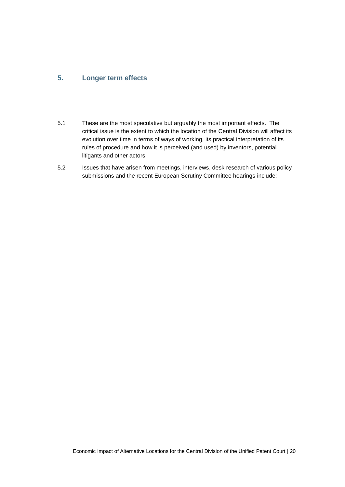## <span id="page-19-0"></span>**5. Longer term effects**

- 5.1 These are the most speculative but arguably the most important effects. The critical issue is the extent to which the location of the Central Division will affect its evolution over time in terms of ways of working, its practical interpretation of its rules of procedure and how it is perceived (and used) by inventors, potential litigants and other actors.
- 5.2 Issues that have arisen from meetings, interviews, desk research of various policy submissions and the recent European Scrutiny Committee hearings include: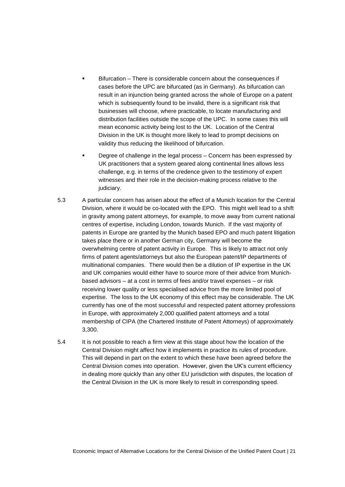- Bifurcation There is considerable concern about the consequences if cases before the UPC are bifurcated (as in Germany). As bifurcation can result in an injunction being granted across the whole of Europe on a patent which is subsequently found to be invalid, there is a significant risk that businesses will choose, where practicable, to locate manufacturing and distribution facilities outside the scope of the UPC. In some cases this will mean economic activity being lost to the UK. Location of the Central Division in the UK is thought more likely to lead to prompt decisions on validity thus reducing the likelihood of bifurcation.
- Degree of challenge in the legal process Concern has been expressed by UK practitioners that a system geared along continental lines allows less challenge, e.g. in terms of the credence given to the testimony of expert witnesses and their role in the decision-making process relative to the judiciary.
- 5.3 A particular concern has arisen about the effect of a Munich location for the Central Division, where it would be co-located with the EPO. This might well lead to a shift in gravity among patent attorneys, for example, to move away from current national centres of expertise, including London, towards Munich. If the vast majority of patents in Europe are granted by the Munich based EPO and much patent litigation takes place there or in another German city, Germany will become the overwhelming centre of patent activity in Europe. This is likely to attract not only firms of patent agents/attorneys but also the European patent/IP departments of multinational companies. There would then be a dilution of IP expertise in the UK and UK companies would either have to source more of their advice from Munichbased advisors – at a cost in terms of fees and/or travel expenses – or risk receiving lower quality or less specialised advice from the more limited pool of expertise. The loss to the UK economy of this effect may be considerable. The UK currently has one of the most successful and respected patent attorney professions in Europe, with approximately 2,000 qualified patent attorneys and a total membership of CIPA (the Chartered Institute of Patent Attorneys) of approximately 3,300.
- 5.4 It is not possible to reach a firm view at this stage about how the location of the Central Division might affect how it implements in practice its rules of procedure. This will depend in part on the extent to which these have been agreed before the Central Division comes into operation. However, given the UK's current efficiency in dealing more quickly than any other EU jurisdiction with disputes, the location of the Central Division in the UK is more likely to result in corresponding speed.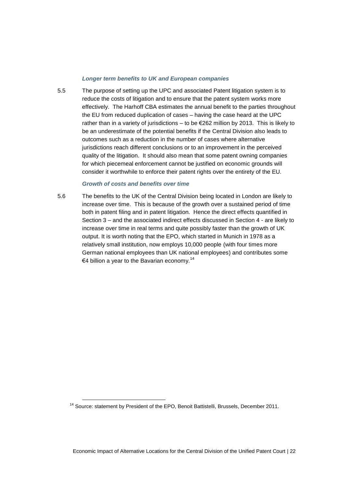#### *Longer term benefits to UK and European companies*

5.5 The purpose of setting up the UPC and associated Patent litigation system is to reduce the costs of litigation and to ensure that the patent system works more effectively. The Harhoff CBA estimates the annual benefit to the parties throughout the EU from reduced duplication of cases – having the case heard at the UPC rather than in a variety of jurisdictions – to be  $E262$  million by 2013. This is likely to be an underestimate of the potential benefits if the Central Division also leads to outcomes such as a reduction in the number of cases where alternative jurisdictions reach different conclusions or to an improvement in the perceived quality of the litigation. It should also mean that some patent owning companies for which piecemeal enforcement cannot be justified on economic grounds will consider it worthwhile to enforce their patent rights over the entirety of the EU.

#### *Growth of costs and benefits over time*

5.6 The benefits to the UK of the Central Division being located in London are likely to increase over time. This is because of the growth over a sustained period of time both in patent filing and in patent litigation. Hence the direct effects quantified in Section 3 – and the associated indirect effects discussed in Section 4 - are likely to increase over time in real terms and quite possibly faster than the growth of UK output. It is worth noting that the EPO, which started in Munich in 1978 as a relatively small institution, now employs 10,000 people (with four times more German national employees than UK national employees) and contributes some €4 billion a year to the Bavarian economy.<sup>14</sup>

<sup>&</sup>lt;sup>14</sup> Source: statement by President of the EPO, Benoit Battistelli, Brussels, December 2011.